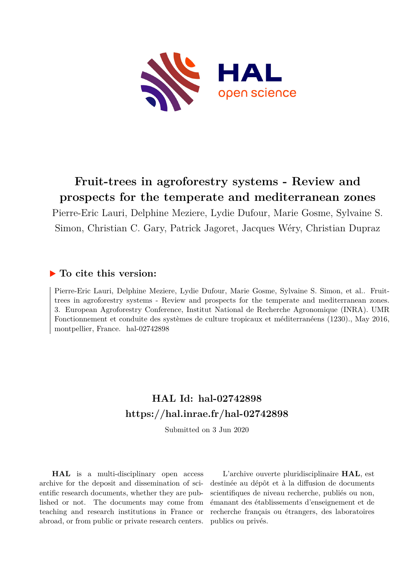

# **Fruit-trees in agroforestry systems - Review and prospects for the temperate and mediterranean zones**

Pierre-Eric Lauri, Delphine Meziere, Lydie Dufour, Marie Gosme, Sylvaine S. Simon, Christian C. Gary, Patrick Jagoret, Jacques Wéry, Christian Dupraz

### **To cite this version:**

Pierre-Eric Lauri, Delphine Meziere, Lydie Dufour, Marie Gosme, Sylvaine S. Simon, et al.. Fruittrees in agroforestry systems - Review and prospects for the temperate and mediterranean zones. 3. European Agroforestry Conference, Institut National de Recherche Agronomique (INRA). UMR Fonctionnement et conduite des systèmes de culture tropicaux et méditerranéens (1230)., May 2016, montpellier, France. hal-02742898

## **HAL Id: hal-02742898 <https://hal.inrae.fr/hal-02742898>**

Submitted on 3 Jun 2020

**HAL** is a multi-disciplinary open access archive for the deposit and dissemination of scientific research documents, whether they are published or not. The documents may come from teaching and research institutions in France or abroad, or from public or private research centers.

L'archive ouverte pluridisciplinaire **HAL**, est destinée au dépôt et à la diffusion de documents scientifiques de niveau recherche, publiés ou non, émanant des établissements d'enseignement et de recherche français ou étrangers, des laboratoires publics ou privés.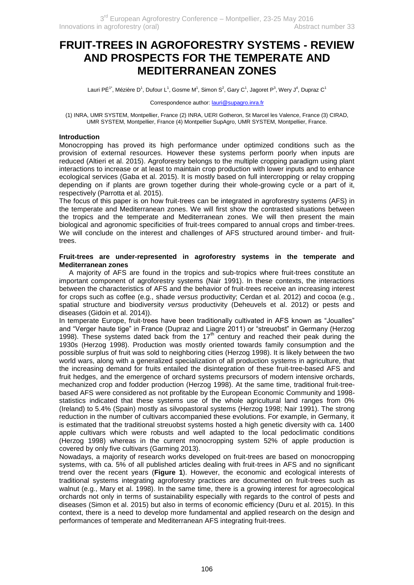### **FRUIT-TREES IN AGROFORESTRY SYSTEMS - REVIEW AND PROSPECTS FOR THE TEMPERATE AND MEDITERRANEAN ZONES**

Lauri PÉ<sup>1\*</sup>, Mézière D<sup>1</sup>, Dufour L<sup>1</sup>, Gosme M<sup>1</sup>, Simon S<sup>2</sup>, Gary C<sup>1</sup>, Jagoret P<sup>3</sup>, Wery J<sup>4</sup>, Dupraz C<sup>1</sup>

#### Correspondence author[: lauri@supagro.inra.fr](mailto:lauri@supagro.inra.fr)

(1) INRA, UMR SYSTEM, Montpellier, France (2) INRA, UERI Gotheron, St Marcel les Valence, France (3) CIRAD, UMR SYSTEM, Montpellier, France (4) Montpellier SupAgro, UMR SYSTEM, Montpellier, France.

#### **Introduction**

Monocropping has proved its high performance under optimized conditions such as the provision of external resources. However these systems perform poorly when inputs are reduced (Altieri et al. 2015). Agroforestry belongs to the multiple cropping paradigm using plant interactions to increase or at least to maintain crop production with lower inputs and to enhance ecological services (Gaba et al. 2015). It is mostly based on full intercropping or relay cropping depending on if plants are grown together during their whole-growing cycle or a part of it, respectively (Parrotta et al. 2015).

The focus of this paper is on how fruit-trees can be integrated in agroforestry systems (AFS) in the temperate and Mediterranean zones. We will first show the contrasted situations between the tropics and the temperate and Mediterranean zones. We will then present the main biological and agronomic specificities of fruit-trees compared to annual crops and timber-trees. We will conclude on the interest and challenges of AFS structured around timber- and fruittrees.

#### **Fruit-trees are under-represented in agroforestry systems in the temperate and Mediterranean zones**

A majority of AFS are found in the tropics and sub-tropics where fruit-trees constitute an important component of agroforestry systems (Nair 1991). In these contexts, the interactions between the characteristics of AFS and the behavior of fruit-trees receive an increasing interest for crops such as coffee (e.g., shade *versus* productivity; Cerdan et al. 2012) and cocoa (e.g., spatial structure and biodiversity *versus* productivity (Deheuvels et al. 2012) or pests and diseases (Gidoin et al. 2014)).

In temperate Europe, fruit-trees have been traditionally cultivated in AFS known as "Joualles" and "Verger haute tige" in France (Dupraz and Liagre 2011) or "streuobst" in Germany (Herzog 1998). These systems dated back from the  $17<sup>th</sup>$  century and reached their peak during the 1930s (Herzog 1998). Production was mostly oriented towards family consumption and the possible surplus of fruit was sold to neighboring cities (Herzog 1998). It is likely between the two world wars, along with a generalized specialization of all production systems in agriculture, that the increasing demand for fruits entailed the disintegration of these fruit-tree-based AFS and fruit hedges, and the emergence of orchard systems precursors of modern intensive orchards, mechanized crop and fodder production (Herzog 1998). At the same time, traditional fruit-treebased AFS were considered as not profitable by the European Economic Community and 1998 statistics indicated that these systems use of the whole agricultural land ranges from 0% (Ireland) to 5.4% (Spain) mostly as silvopastoral systems (Herzog 1998; Nair 1991). The strong reduction in the number of cultivars accompanied these evolutions. For example, in Germany, it is estimated that the traditional streuobst systems hosted a high genetic diversity with ca. 1400 apple cultivars which were robusts and well adapted to the local pedoclimatic conditions (Herzog 1998) whereas in the current monocropping system 52% of apple production is covered by only five cultivars (Garming 2013).

Nowadays, a majority of research works developed on fruit-trees are based on monocropping systems, with ca. 5% of all published articles dealing with fruit-trees in AFS and no significant trend over the recent years (**Figure 1**). However, the economic and ecological interests of traditional systems integrating agroforestry practices are documented on fruit-trees such as walnut (e.g., Mary et al. 1998). In the same time, there is a growing interest for agroecological orchards not only in terms of sustainability especially with regards to the control of pests and diseases (Simon et al. 2015) but also in terms of economic efficiency (Duru et al. 2015). In this context, there is a need to develop more fundamental and applied research on the design and performances of temperate and Mediterranean AFS integrating fruit-trees.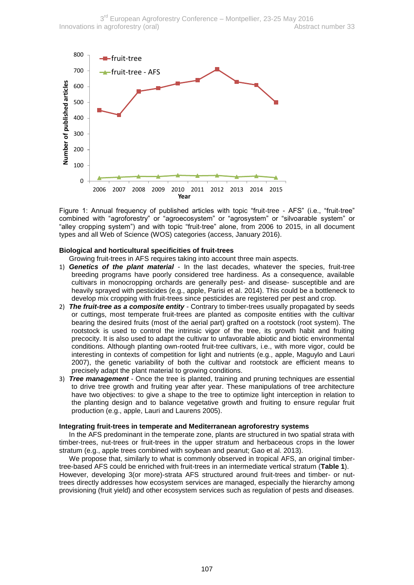

Figure 1: Annual frequency of published articles with topic "fruit-tree - AFS" (i.e., "fruit-tree" combined with "agroforestry" or "agroecosystem" or "agrosystem" or "silvoarable system" or "alley cropping system") and with topic "fruit-tree" alone, from 2006 to 2015, in all document types and all Web of Science (WOS) categories (access, January 2016).

#### **Biological and horticultural specificities of fruit-trees**

Growing fruit-trees in AFS requires taking into account three main aspects.

- 1) *Genetics of the plant material* In the last decades, whatever the species, fruit-tree breeding programs have poorly considered tree hardiness. As a consequence, available cultivars in monocropping orchards are generally pest- and disease- susceptible and are heavily sprayed with pesticides (e.g., apple, Parisi et al. 2014). This could be a bottleneck to develop mix cropping with fruit-trees since pesticides are registered per pest and crop.
- 2) *The fruit-tree as a composite entity*  Contrary to timber-trees usually propagated by seeds or cuttings, most temperate fruit-trees are planted as composite entities with the cultivar bearing the desired fruits (most of the aerial part) grafted on a rootstock (root system). The rootstock is used to control the intrinsic vigor of the tree, its growth habit and fruiting precocity. It is also used to adapt the cultivar to unfavorable abiotic and biotic environmental conditions. Although planting own-rooted fruit-tree cultivars, i.e., with more vigor, could be interesting in contexts of competition for light and nutrients (e.g., apple, Maguylo and Lauri 2007), the genetic variability of both the cultivar and rootstock are efficient means to precisely adapt the plant material to growing conditions.
- 3) *Tree management* Once the tree is planted, training and pruning techniques are essential to drive tree growth and fruiting year after year. These manipulations of tree architecture have two objectives: to give a shape to the tree to optimize light interception in relation to the planting design and to balance vegetative growth and fruiting to ensure regular fruit production (e.g., apple, Lauri and Laurens 2005).

#### **Integrating fruit-trees in temperate and Mediterranean agroforestry systems**

In the AFS predominant in the temperate zone, plants are structured in two spatial strata with timber-trees, nut-trees or fruit-trees in the upper stratum and herbaceous crops in the lower stratum (e.g., apple trees combined with soybean and peanut; Gao et al. 2013).

We propose that, similarly to what is commonly observed in tropical AFS, an original timbertree-based AFS could be enriched with fruit-trees in an intermediate vertical stratum (**Table 1**). However, developing 3(or more)-strata AFS structured around fruit-trees and timber- or nuttrees directly addresses how ecosystem services are managed, especially the hierarchy among provisioning (fruit yield) and other ecosystem services such as regulation of pests and diseases.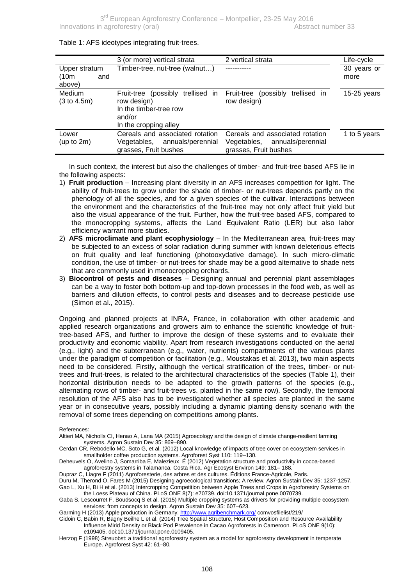|                                        | 3 (or more) vertical strata                                                                                          | 2 vertical strata                                                                         | Life-cycle          |
|----------------------------------------|----------------------------------------------------------------------------------------------------------------------|-------------------------------------------------------------------------------------------|---------------------|
| Upper stratum<br>(10m<br>and<br>above) | Timber-tree, nut-tree (walnut)                                                                                       | -----------                                                                               | 30 years or<br>more |
| Medium<br>(3 to 4.5m)                  | trellised in<br>(possibly)<br>Fruit-tree<br>row design)<br>In the timber-tree row<br>and/or<br>In the cropping alley | trellised in<br>(possibly<br>Fruit-tree<br>row design)                                    | $15-25$ years       |
| Lower<br>(up to 2m)                    | Cereals and associated rotation<br>annuals/perennial<br>Vegetables.<br>grasses, Fruit bushes                         | Cereals and associated rotation<br>Vegetables, annuals/perennial<br>grasses, Fruit bushes | 1 to 5 years        |

#### Table 1: AFS ideotypes integrating fruit-trees.

In such context, the interest but also the challenges of timber- and fruit-tree based AFS lie in the following aspects:

- 1) **Fruit production** Increasing plant diversity in an AFS increases competition for light. The ability of fruit-trees to grow under the shade of timber- or nut-trees depends partly on the phenology of all the species, and for a given species of the cultivar. Interactions between the environment and the characteristics of the fruit-tree may not only affect fruit yield but also the visual appearance of the fruit. Further, how the fruit-tree based AFS, compared to the monocropping systems, affects the Land Equivalent Ratio (LER) but also labor efficiency warrant more studies.
- 2) **AFS microclimate and plant ecophysiology** In the Mediterranean area, fruit-trees may be subjected to an excess of solar radiation during summer with known deleterious effects on fruit quality and leaf functioning (photooxydative damage). In such micro-climatic condition, the use of timber- or nut-trees for shade may be a good alternative to shade nets that are commonly used in monocropping orchards.
- 3) **Biocontrol of pests and diseases** Designing annual and perennial plant assemblages can be a way to foster both bottom-up and top-down processes in the food web, as well as barriers and dilution effects, to control pests and diseases and to decrease pesticide use (Simon et al., 2015).

Ongoing and planned projects at INRA, France, in collaboration with other academic and applied research organizations and growers aim to enhance the scientific knowledge of fruittree-based AFS, and further to improve the design of these systems and to evaluate their productivity and economic viability. Apart from research investigations conducted on the aerial (e.g., light) and the subterranean (e.g., water, nutrients) compartments of the various plants under the paradigm of competition or facilitation (e.g., Moustakas et al. 2013), two main aspects need to be considered. Firstly, although the vertical stratification of the trees, timber- or nuttrees and fruit-trees, is related to the architectural characteristics of the species (Table 1), their horizontal distribution needs to be adapted to the growth patterns of the species (e.g., alternating rows of timber- and fruit-trees vs. planted in the same row). Secondly, the temporal resolution of the AFS also has to be investigated whether all species are planted in the same year or in consecutive years, possibly including a dynamic planting density scenario with the removal of some trees depending on competitions among plants.

References:

- Altieri MA, Nicholls CI, Henao A, Lana MA (2015) Agroecology and the design of climate change-resilient farming systems. Agron Sustain Dev 35: 869–890.
- Cerdan CR, Rebodello MC, Soto G, et al. (2012) Local knowledge of impacts of tree cover on ecosystem services in smallholder coffee production systems. Agroforest Syst 110: 119–130.
- Deheuvels O, Avelino J, Somarriba E, Malezieux É (2012) Vegetation structure and productivity in cocoa-based agroforestry systems in Talamanca, Costa Rica. Agr Ecosyst Environ 149: 181– 188.
- Dupraz C, Liagre F (2011) Agroforesterie, des arbres et des cultures. Éditions France-Agricole, Paris.

Duru M, Therond O, Fares M (2015) Designing agroecological transitions; A review. Agron Sustain Dev 35: 1237-1257. Gao L, Xu H, Bi H et al. (2013) Intercropping Competition between Apple Trees and Crops in Agroforestry Systems on the Loess Plateau of China. PLoS ONE 8(7): e70739. doi:10.1371/journal.pone.0070739.

- Garming H (2013) Apple production in Germany[. http://www.agribenchmark.org/](http://www.agribenchmark.org/) comvosfilelist/219/
- Gidoin C, Babin R, Bagny Beilhe L et al. (2014) Tree Spatial Structure, Host Composition and Resource Availability Influence Mirid Density or Black Pod Prevalence in Cacao Agroforests in Cameroon. PLoS ONE 9(10): e109405. doi:10.1371/journal.pone.0109405.
- Herzog F (1998) Streuobst: a traditional agroforestry system as a model for agroforestry development in temperate Europe. Agroforest Syst 42: 61–80.

Gaba S, Lescourret F, Boudsocq S et al. (2015) Multiple cropping systems as drivers for providing multiple ecosystem services: from concepts to design. Agron Sustain Dev 35: 607–623.